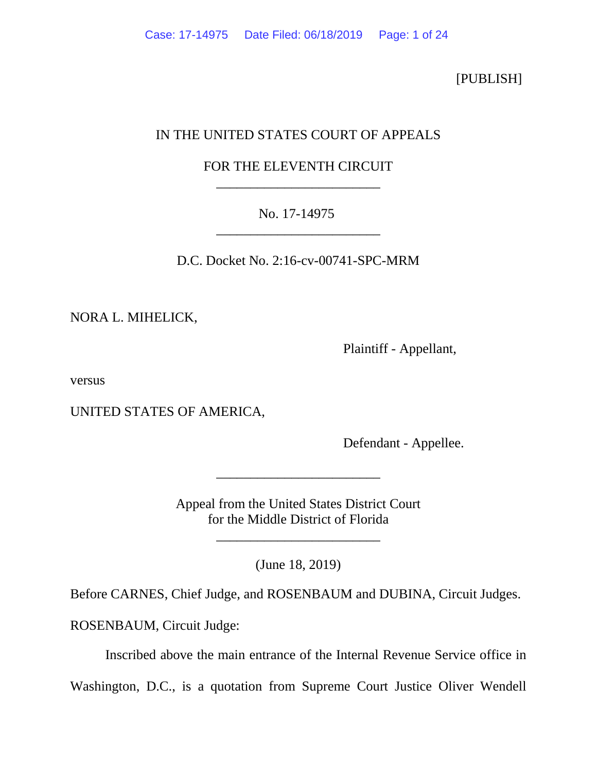[PUBLISH]

# IN THE UNITED STATES COURT OF APPEALS

# FOR THE ELEVENTH CIRCUIT \_\_\_\_\_\_\_\_\_\_\_\_\_\_\_\_\_\_\_\_\_\_\_\_

## No. 17-14975 \_\_\_\_\_\_\_\_\_\_\_\_\_\_\_\_\_\_\_\_\_\_\_\_

D.C. Docket No. 2:16-cv-00741-SPC-MRM

NORA L. MIHELICK,

Plaintiff - Appellant,

versus

UNITED STATES OF AMERICA,

Defendant - Appellee.

Appeal from the United States District Court for the Middle District of Florida

\_\_\_\_\_\_\_\_\_\_\_\_\_\_\_\_\_\_\_\_\_\_\_\_

(June 18, 2019)

\_\_\_\_\_\_\_\_\_\_\_\_\_\_\_\_\_\_\_\_\_\_\_\_

Before CARNES, Chief Judge, and ROSENBAUM and DUBINA, Circuit Judges.

ROSENBAUM, Circuit Judge:

Inscribed above the main entrance of the Internal Revenue Service office in

Washington, D.C., is a quotation from Supreme Court Justice Oliver Wendell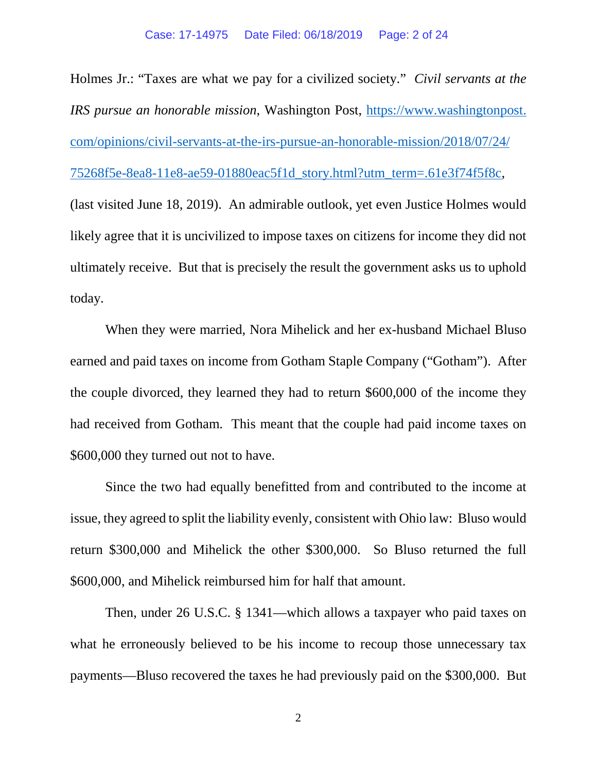Holmes Jr.: "Taxes are what we pay for a civilized society." *Civil servants at the IRS pursue an honorable mission*, Washington Post, [https://www.washingtonpost.](https://www.washingtonpost.com/opinions/civil-servants-at-the-irs-pursue-an-honorable-mission/2018/07/24/75268f5e-8ea8-11e8-ae59-01880eac5f1d_story.html?utm_term=.61e3f74f5f8c) [com/opinions/civil-servants-at-the-irs-pursue-an-honorable-mission/2018/07/24/](https://www.washingtonpost.com/opinions/civil-servants-at-the-irs-pursue-an-honorable-mission/2018/07/24/75268f5e-8ea8-11e8-ae59-01880eac5f1d_story.html?utm_term=.61e3f74f5f8c) [75268f5e-8ea8-11e8-ae59-01880eac5f1d\\_story.html?utm\\_term=.61e3f74f5f8c,](https://www.washingtonpost.com/opinions/civil-servants-at-the-irs-pursue-an-honorable-mission/2018/07/24/75268f5e-8ea8-11e8-ae59-01880eac5f1d_story.html?utm_term=.61e3f74f5f8c) (last visited June 18, 2019). An admirable outlook, yet even Justice Holmes would likely agree that it is uncivilized to impose taxes on citizens for income they did not ultimately receive. But that is precisely the result the government asks us to uphold today.

When they were married, Nora Mihelick and her ex-husband Michael Bluso earned and paid taxes on income from Gotham Staple Company ("Gotham"). After the couple divorced, they learned they had to return \$600,000 of the income they had received from Gotham. This meant that the couple had paid income taxes on \$600,000 they turned out not to have.

Since the two had equally benefitted from and contributed to the income at issue, they agreed to split the liability evenly, consistent with Ohio law: Bluso would return \$300,000 and Mihelick the other \$300,000. So Bluso returned the full \$600,000, and Mihelick reimbursed him for half that amount.

Then, under 26 U.S.C. § 1341—which allows a taxpayer who paid taxes on what he erroneously believed to be his income to recoup those unnecessary tax payments—Bluso recovered the taxes he had previously paid on the \$300,000. But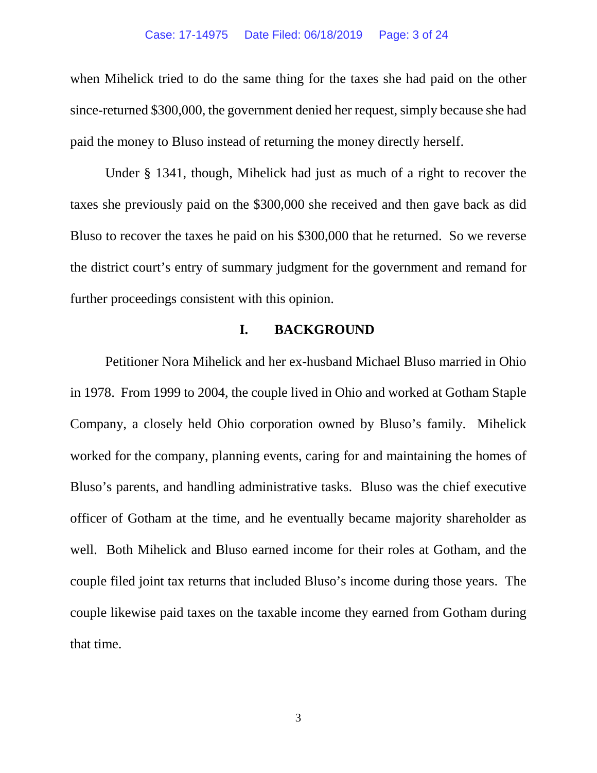when Mihelick tried to do the same thing for the taxes she had paid on the other since-returned \$300,000, the government denied her request, simply because she had paid the money to Bluso instead of returning the money directly herself.

Under § 1341, though, Mihelick had just as much of a right to recover the taxes she previously paid on the \$300,000 she received and then gave back as did Bluso to recover the taxes he paid on his \$300,000 that he returned. So we reverse the district court's entry of summary judgment for the government and remand for further proceedings consistent with this opinion.

## **I. BACKGROUND**

Petitioner Nora Mihelick and her ex-husband Michael Bluso married in Ohio in 1978. From 1999 to 2004, the couple lived in Ohio and worked at Gotham Staple Company, a closely held Ohio corporation owned by Bluso's family. Mihelick worked for the company, planning events, caring for and maintaining the homes of Bluso's parents, and handling administrative tasks. Bluso was the chief executive officer of Gotham at the time, and he eventually became majority shareholder as well. Both Mihelick and Bluso earned income for their roles at Gotham, and the couple filed joint tax returns that included Bluso's income during those years. The couple likewise paid taxes on the taxable income they earned from Gotham during that time.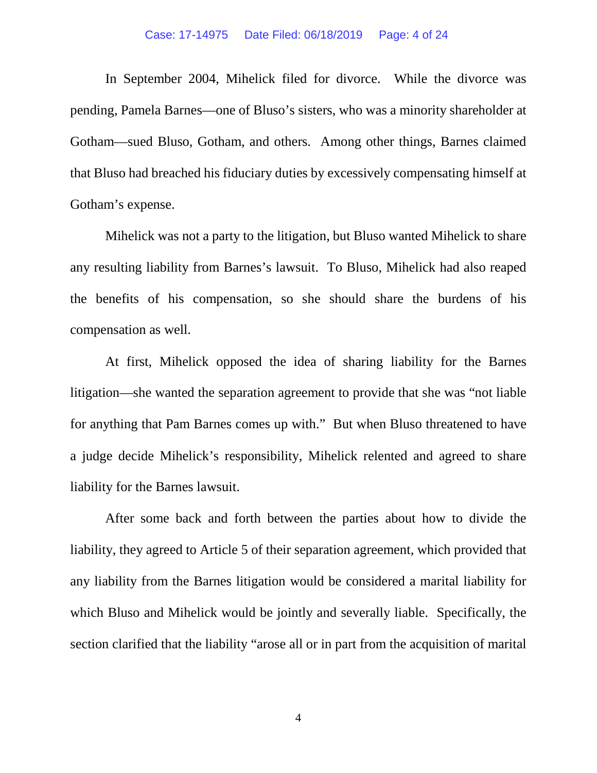#### Case: 17-14975 Date Filed: 06/18/2019 Page: 4 of 24

In September 2004, Mihelick filed for divorce. While the divorce was pending, Pamela Barnes—one of Bluso's sisters, who was a minority shareholder at Gotham—sued Bluso, Gotham, and others. Among other things, Barnes claimed that Bluso had breached his fiduciary duties by excessively compensating himself at Gotham's expense.

Mihelick was not a party to the litigation, but Bluso wanted Mihelick to share any resulting liability from Barnes's lawsuit. To Bluso, Mihelick had also reaped the benefits of his compensation, so she should share the burdens of his compensation as well.

At first, Mihelick opposed the idea of sharing liability for the Barnes litigation—she wanted the separation agreement to provide that she was "not liable for anything that Pam Barnes comes up with." But when Bluso threatened to have a judge decide Mihelick's responsibility, Mihelick relented and agreed to share liability for the Barnes lawsuit.

After some back and forth between the parties about how to divide the liability, they agreed to Article 5 of their separation agreement, which provided that any liability from the Barnes litigation would be considered a marital liability for which Bluso and Mihelick would be jointly and severally liable. Specifically, the section clarified that the liability "arose all or in part from the acquisition of marital

4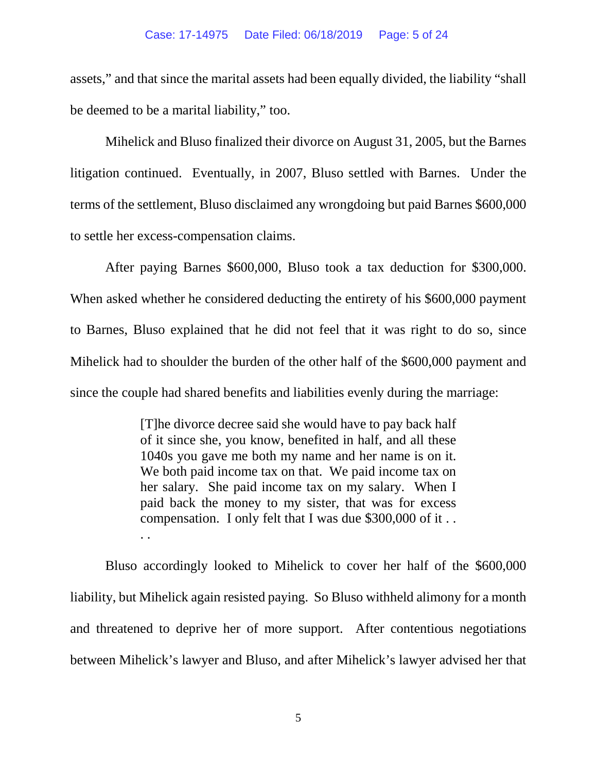assets," and that since the marital assets had been equally divided, the liability "shall be deemed to be a marital liability," too.

Mihelick and Bluso finalized their divorce on August 31, 2005, but the Barnes litigation continued. Eventually, in 2007, Bluso settled with Barnes. Under the terms of the settlement, Bluso disclaimed any wrongdoing but paid Barnes \$600,000 to settle her excess-compensation claims.

After paying Barnes \$600,000, Bluso took a tax deduction for \$300,000. When asked whether he considered deducting the entirety of his \$600,000 payment to Barnes, Bluso explained that he did not feel that it was right to do so, since Mihelick had to shoulder the burden of the other half of the \$600,000 payment and since the couple had shared benefits and liabilities evenly during the marriage:

> [T]he divorce decree said she would have to pay back half of it since she, you know, benefited in half, and all these 1040s you gave me both my name and her name is on it. We both paid income tax on that. We paid income tax on her salary. She paid income tax on my salary. When I paid back the money to my sister, that was for excess compensation. I only felt that I was due \$300,000 of it . . . .

Bluso accordingly looked to Mihelick to cover her half of the \$600,000 liability, but Mihelick again resisted paying. So Bluso withheld alimony for a month and threatened to deprive her of more support. After contentious negotiations between Mihelick's lawyer and Bluso, and after Mihelick's lawyer advised her that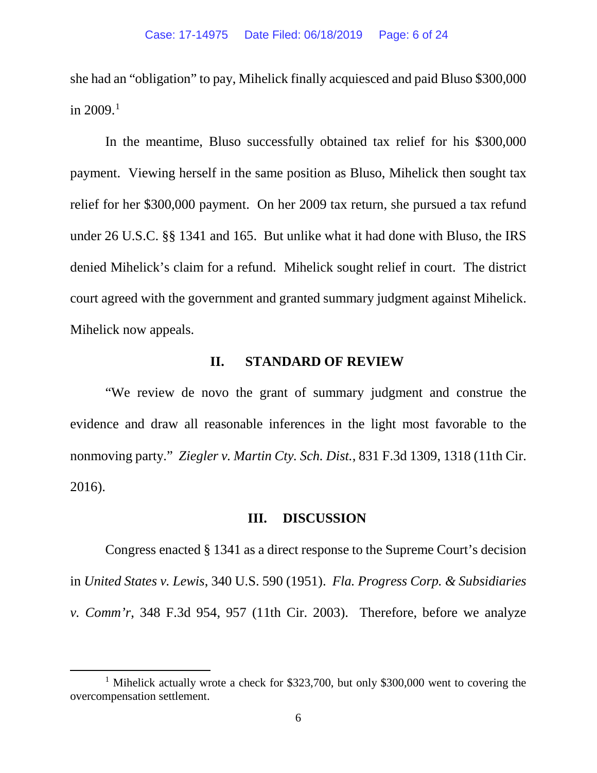she had an "obligation" to pay, Mihelick finally acquiesced and paid Bluso \$300,000 in  $2009.1$  $2009.1$ 

In the meantime, Bluso successfully obtained tax relief for his \$300,000 payment. Viewing herself in the same position as Bluso, Mihelick then sought tax relief for her \$300,000 payment. On her 2009 tax return, she pursued a tax refund under 26 U.S.C. §§ 1341 and 165. But unlike what it had done with Bluso, the IRS denied Mihelick's claim for a refund. Mihelick sought relief in court. The district court agreed with the government and granted summary judgment against Mihelick. Mihelick now appeals.

### **II. STANDARD OF REVIEW**

"We review de novo the grant of summary judgment and construe the evidence and draw all reasonable inferences in the light most favorable to the nonmoving party." *Ziegler v. Martin Cty. Sch. Dist.*, 831 F.3d 1309, 1318 (11th Cir. 2016).

## **III. DISCUSSION**

Congress enacted § 1341 as a direct response to the Supreme Court's decision in *United States v. Lewis*, 340 U.S. 590 (1951). *Fla. Progress Corp. & Subsidiaries v. Comm'r*, 348 F.3d 954, 957 (11th Cir. 2003). Therefore, before we analyze

<span id="page-5-0"></span><sup>&</sup>lt;sup>1</sup> Mihelick actually wrote a check for \$323,700, but only \$300,000 went to covering the overcompensation settlement.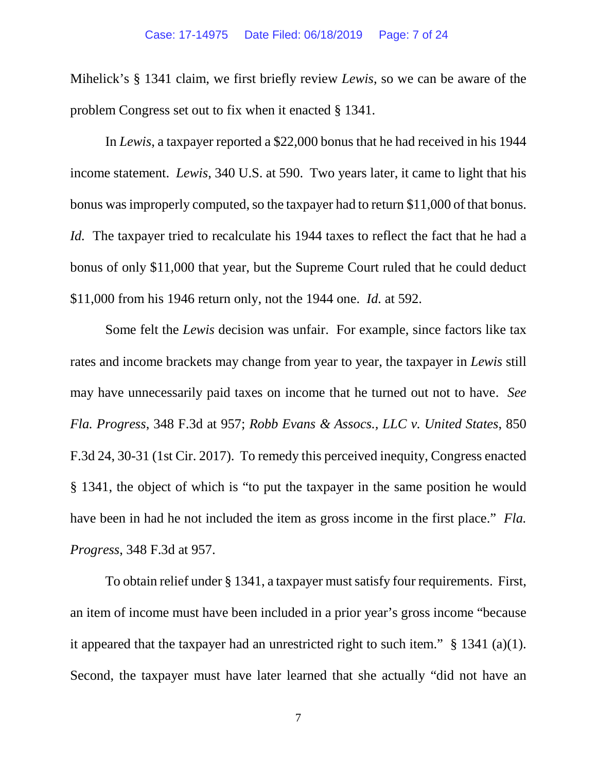Mihelick's § 1341 claim, we first briefly review *Lewis*, so we can be aware of the problem Congress set out to fix when it enacted § 1341.

In *Lewis*, a taxpayer reported a \$22,000 bonus that he had received in his 1944 income statement. *Lewis*, 340 U.S. at 590. Two years later, it came to light that his bonus was improperly computed, so the taxpayer had to return \$11,000 of that bonus. *Id.* The taxpayer tried to recalculate his 1944 taxes to reflect the fact that he had a bonus of only \$11,000 that year, but the Supreme Court ruled that he could deduct \$11,000 from his 1946 return only, not the 1944 one. *Id.* at 592.

Some felt the *Lewis* decision was unfair. For example, since factors like tax rates and income brackets may change from year to year, the taxpayer in *Lewis* still may have unnecessarily paid taxes on income that he turned out not to have. *See Fla. Progress*, 348 F.3d at 957; *Robb Evans & Assocs., LLC v. United States*, 850 F.3d 24, 30-31 (1st Cir. 2017). To remedy this perceived inequity, Congress enacted § 1341, the object of which is "to put the taxpayer in the same position he would have been in had he not included the item as gross income in the first place." *Fla. Progress*, 348 F.3d at 957.

To obtain relief under § 1341, a taxpayer must satisfy four requirements. First, an item of income must have been included in a prior year's gross income "because it appeared that the taxpayer had an unrestricted right to such item." § 1341 (a)(1). Second, the taxpayer must have later learned that she actually "did not have an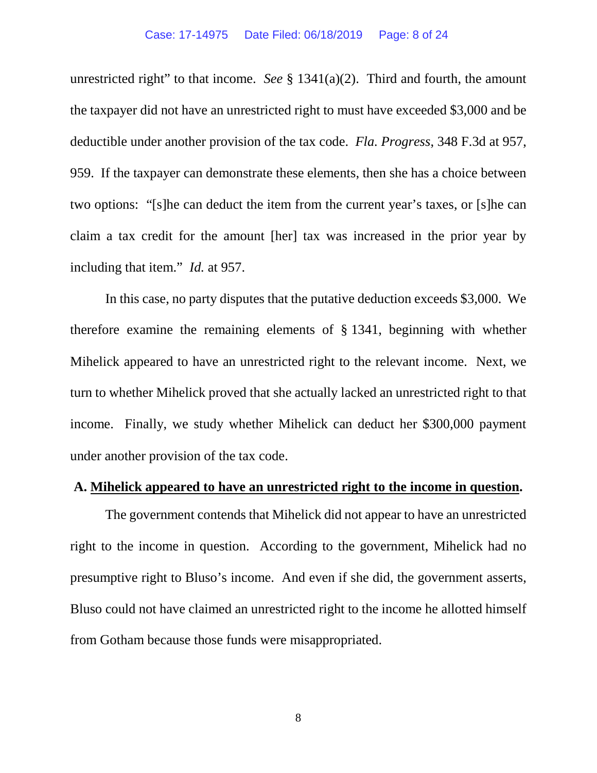unrestricted right" to that income. *See* § 1341(a)(2). Third and fourth, the amount the taxpayer did not have an unrestricted right to must have exceeded \$3,000 and be deductible under another provision of the tax code. *Fla. Progress*, 348 F.3d at 957, 959. If the taxpayer can demonstrate these elements, then she has a choice between two options: "[s]he can deduct the item from the current year's taxes, or [s]he can claim a tax credit for the amount [her] tax was increased in the prior year by including that item." *Id.* at 957.

In this case, no party disputes that the putative deduction exceeds \$3,000. We therefore examine the remaining elements of § 1341, beginning with whether Mihelick appeared to have an unrestricted right to the relevant income. Next, we turn to whether Mihelick proved that she actually lacked an unrestricted right to that income. Finally, we study whether Mihelick can deduct her \$300,000 payment under another provision of the tax code.

### **A. Mihelick appeared to have an unrestricted right to the income in question.**

The government contends that Mihelick did not appear to have an unrestricted right to the income in question. According to the government, Mihelick had no presumptive right to Bluso's income. And even if she did, the government asserts, Bluso could not have claimed an unrestricted right to the income he allotted himself from Gotham because those funds were misappropriated.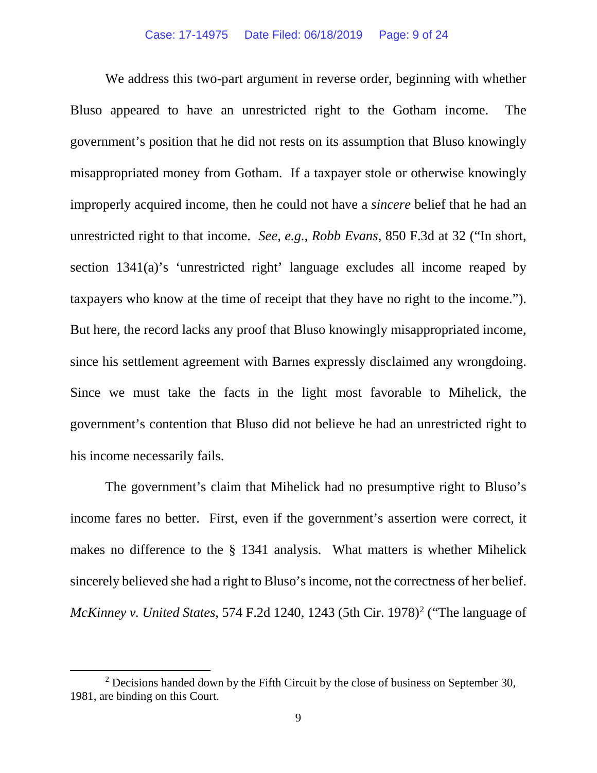We address this two-part argument in reverse order, beginning with whether Bluso appeared to have an unrestricted right to the Gotham income. The government's position that he did not rests on its assumption that Bluso knowingly misappropriated money from Gotham. If a taxpayer stole or otherwise knowingly improperly acquired income, then he could not have a *sincere* belief that he had an unrestricted right to that income. *See, e.g.*, *Robb Evans*, 850 F.3d at 32 ("In short, section 1341(a)'s 'unrestricted right' language excludes all income reaped by taxpayers who know at the time of receipt that they have no right to the income."). But here, the record lacks any proof that Bluso knowingly misappropriated income, since his settlement agreement with Barnes expressly disclaimed any wrongdoing. Since we must take the facts in the light most favorable to Mihelick, the government's contention that Bluso did not believe he had an unrestricted right to his income necessarily fails.

The government's claim that Mihelick had no presumptive right to Bluso's income fares no better. First, even if the government's assertion were correct, it makes no difference to the § 1341 analysis. What matters is whether Mihelick sincerely believed she had a right to Bluso's income, not the correctness of her belief. *McKinney v. United States*, 574 F.2d 1240, 1243 (5th Cir. 1978) [2](#page-8-0) ("The language of

<span id="page-8-0"></span> $2$  Decisions handed down by the Fifth Circuit by the close of business on September 30, 1981, are binding on this Court.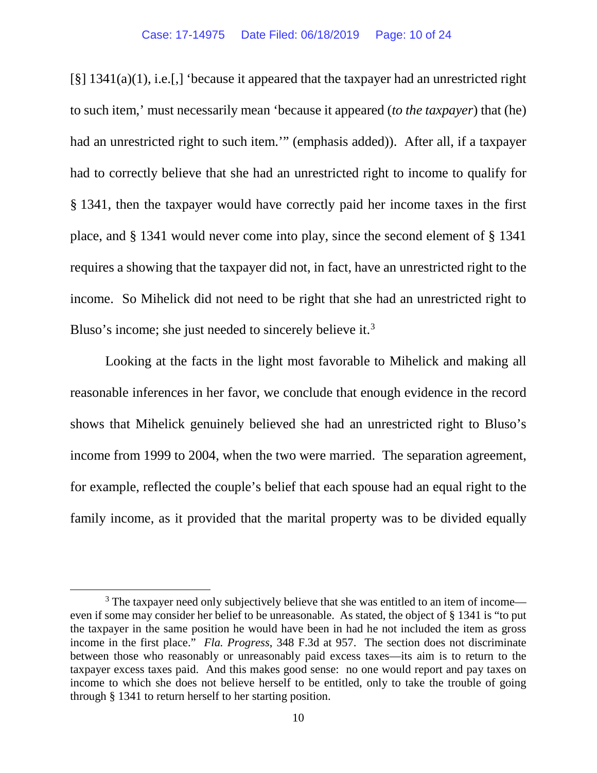[§] 1341(a)(1), i.e.[,] 'because it appeared that the taxpayer had an unrestricted right to such item,' must necessarily mean 'because it appeared (*to the taxpayer*) that (he) had an unrestricted right to such item.'" (emphasis added)). After all, if a taxpayer had to correctly believe that she had an unrestricted right to income to qualify for § 1341, then the taxpayer would have correctly paid her income taxes in the first place, and § 1341 would never come into play, since the second element of § 1341 requires a showing that the taxpayer did not, in fact, have an unrestricted right to the income. So Mihelick did not need to be right that she had an unrestricted right to Bluso's income; she just needed to sincerely believe it.<sup>[3](#page-9-0)</sup>

Looking at the facts in the light most favorable to Mihelick and making all reasonable inferences in her favor, we conclude that enough evidence in the record shows that Mihelick genuinely believed she had an unrestricted right to Bluso's income from 1999 to 2004, when the two were married. The separation agreement, for example, reflected the couple's belief that each spouse had an equal right to the family income, as it provided that the marital property was to be divided equally

<span id="page-9-0"></span><sup>&</sup>lt;sup>3</sup> The taxpayer need only subjectively believe that she was entitled to an item of income even if some may consider her belief to be unreasonable. As stated, the object of § 1341 is "to put the taxpayer in the same position he would have been in had he not included the item as gross income in the first place." *Fla. Progress*, 348 F.3d at 957. The section does not discriminate between those who reasonably or unreasonably paid excess taxes—its aim is to return to the taxpayer excess taxes paid. And this makes good sense: no one would report and pay taxes on income to which she does not believe herself to be entitled, only to take the trouble of going through § 1341 to return herself to her starting position.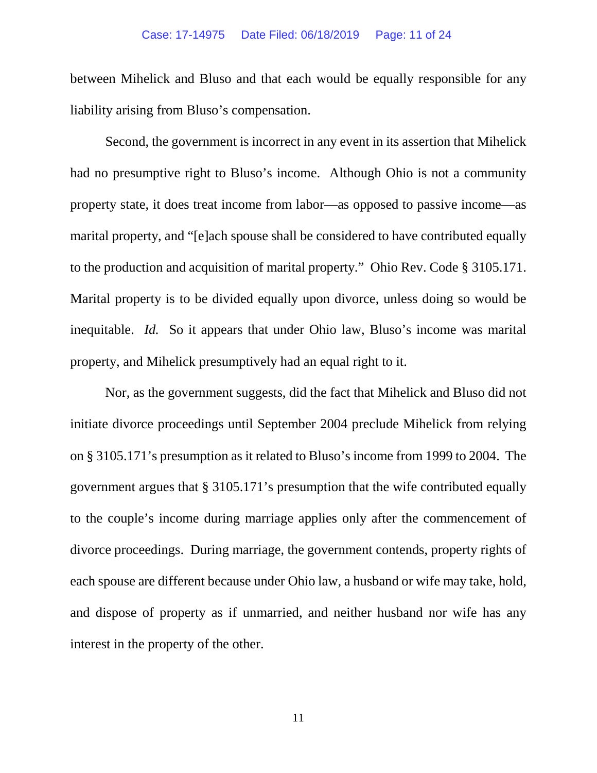between Mihelick and Bluso and that each would be equally responsible for any liability arising from Bluso's compensation.

Second, the government is incorrect in any event in its assertion that Mihelick had no presumptive right to Bluso's income. Although Ohio is not a community property state, it does treat income from labor—as opposed to passive income—as marital property, and "[e]ach spouse shall be considered to have contributed equally to the production and acquisition of marital property." Ohio Rev. Code § 3105.171. Marital property is to be divided equally upon divorce, unless doing so would be inequitable. *Id.* So it appears that under Ohio law, Bluso's income was marital property, and Mihelick presumptively had an equal right to it.

Nor, as the government suggests, did the fact that Mihelick and Bluso did not initiate divorce proceedings until September 2004 preclude Mihelick from relying on § 3105.171's presumption as it related to Bluso's income from 1999 to 2004. The government argues that § 3105.171's presumption that the wife contributed equally to the couple's income during marriage applies only after the commencement of divorce proceedings. During marriage, the government contends, property rights of each spouse are different because under Ohio law, a husband or wife may take, hold, and dispose of property as if unmarried, and neither husband nor wife has any interest in the property of the other.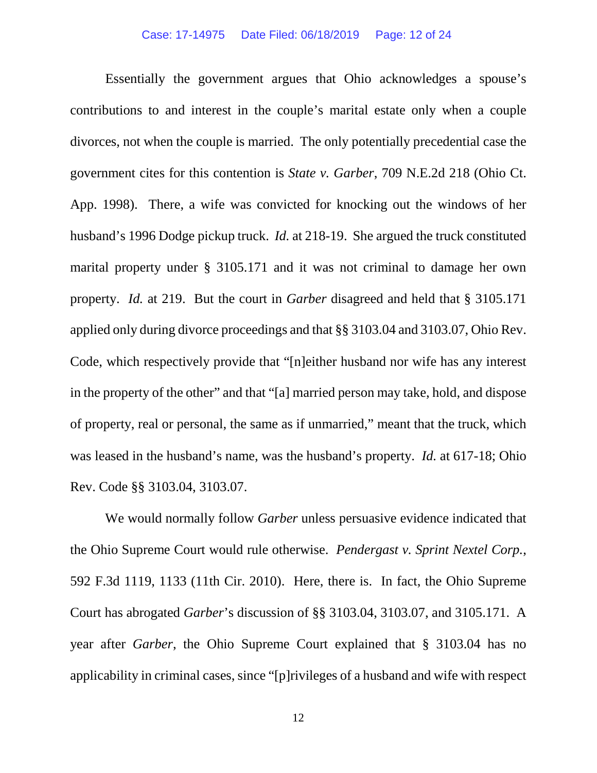### Case: 17-14975 Date Filed: 06/18/2019 Page: 12 of 24

Essentially the government argues that Ohio acknowledges a spouse's contributions to and interest in the couple's marital estate only when a couple divorces, not when the couple is married. The only potentially precedential case the government cites for this contention is *State v. Garber*, 709 N.E.2d 218 (Ohio Ct. App. 1998). There, a wife was convicted for knocking out the windows of her husband's 1996 Dodge pickup truck. *Id.* at 218-19. She argued the truck constituted marital property under § 3105.171 and it was not criminal to damage her own property. *Id.* at 219. But the court in *Garber* disagreed and held that § 3105.171 applied only during divorce proceedings and that §§ 3103.04 and 3103.07, Ohio Rev. Code, which respectively provide that "[n]either husband nor wife has any interest in the property of the other" and that "[a] married person may take, hold, and dispose of property, real or personal, the same as if unmarried," meant that the truck, which was leased in the husband's name, was the husband's property. *Id.* at 617-18; Ohio Rev. Code §§ 3103.04, 3103.07.

We would normally follow *Garber* unless persuasive evidence indicated that the Ohio Supreme Court would rule otherwise. *Pendergast v. Sprint Nextel Corp.*, 592 F.3d 1119, 1133 (11th Cir. 2010). Here, there is. In fact, the Ohio Supreme Court has abrogated *Garber*'s discussion of §§ 3103.04, 3103.07, and 3105.171. A year after *Garber*, the Ohio Supreme Court explained that § 3103.04 has no applicability in criminal cases, since "[p]rivileges of a husband and wife with respect

12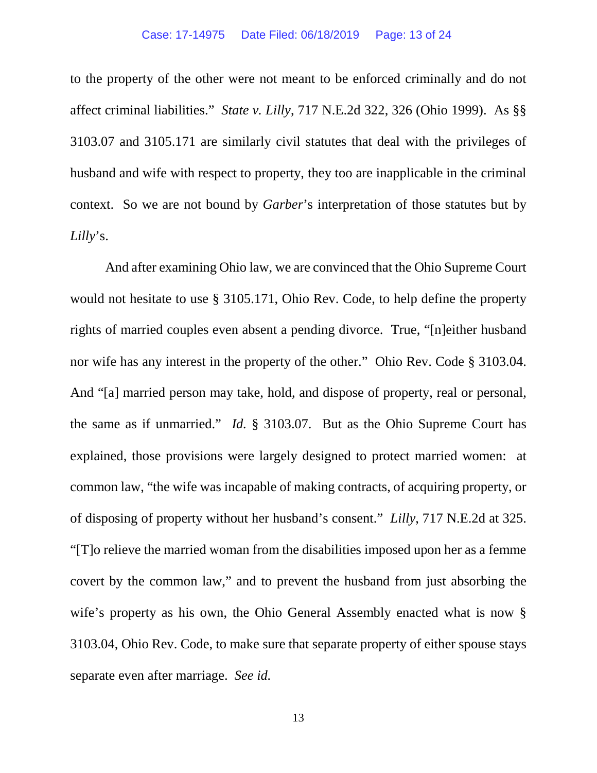to the property of the other were not meant to be enforced criminally and do not affect criminal liabilities." *State v. Lilly*, 717 N.E.2d 322, 326 (Ohio 1999). As §§ 3103.07 and 3105.171 are similarly civil statutes that deal with the privileges of husband and wife with respect to property, they too are inapplicable in the criminal context. So we are not bound by *Garber*'s interpretation of those statutes but by *Lilly*'s.

And after examining Ohio law, we are convinced that the Ohio Supreme Court would not hesitate to use § 3105.171, Ohio Rev. Code, to help define the property rights of married couples even absent a pending divorce. True, "[n]either husband nor wife has any interest in the property of the other." Ohio Rev. Code § 3103.04. And "[a] married person may take, hold, and dispose of property, real or personal, the same as if unmarried." *Id.* § 3103.07. But as the Ohio Supreme Court has explained, those provisions were largely designed to protect married women: at common law, "the wife was incapable of making contracts, of acquiring property, or of disposing of property without her husband's consent." *Lilly*, 717 N.E.2d at 325. "[T]o relieve the married woman from the disabilities imposed upon her as a femme covert by the common law," and to prevent the husband from just absorbing the wife's property as his own, the Ohio General Assembly enacted what is now § 3103.04, Ohio Rev. Code, to make sure that separate property of either spouse stays separate even after marriage. *See id.*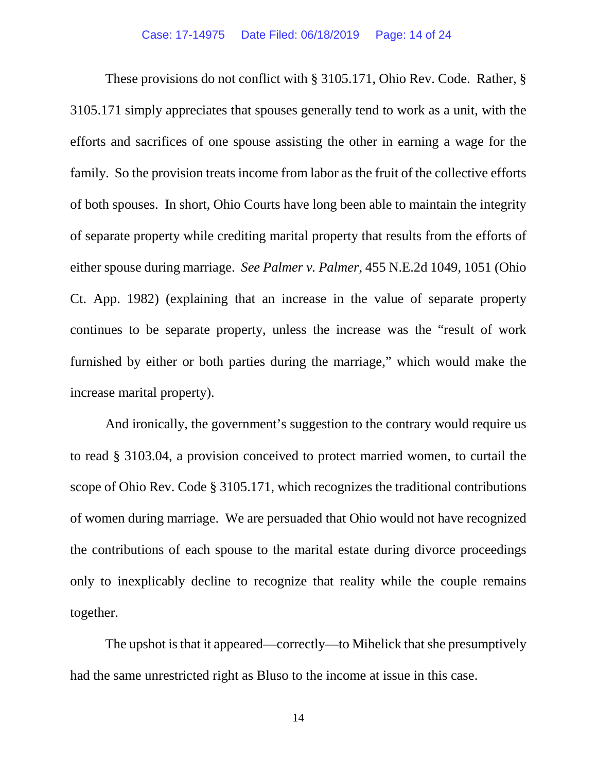These provisions do not conflict with § 3105.171, Ohio Rev. Code. Rather, § 3105.171 simply appreciates that spouses generally tend to work as a unit, with the efforts and sacrifices of one spouse assisting the other in earning a wage for the family. So the provision treats income from labor as the fruit of the collective efforts of both spouses. In short, Ohio Courts have long been able to maintain the integrity of separate property while crediting marital property that results from the efforts of either spouse during marriage. *See Palmer v. Palmer*, 455 N.E.2d 1049, 1051 (Ohio Ct. App. 1982) (explaining that an increase in the value of separate property continues to be separate property, unless the increase was the "result of work furnished by either or both parties during the marriage," which would make the increase marital property).

And ironically, the government's suggestion to the contrary would require us to read § 3103.04, a provision conceived to protect married women, to curtail the scope of Ohio Rev. Code § 3105.171, which recognizes the traditional contributions of women during marriage. We are persuaded that Ohio would not have recognized the contributions of each spouse to the marital estate during divorce proceedings only to inexplicably decline to recognize that reality while the couple remains together.

The upshot is that it appeared—correctly—to Mihelick that she presumptively had the same unrestricted right as Bluso to the income at issue in this case.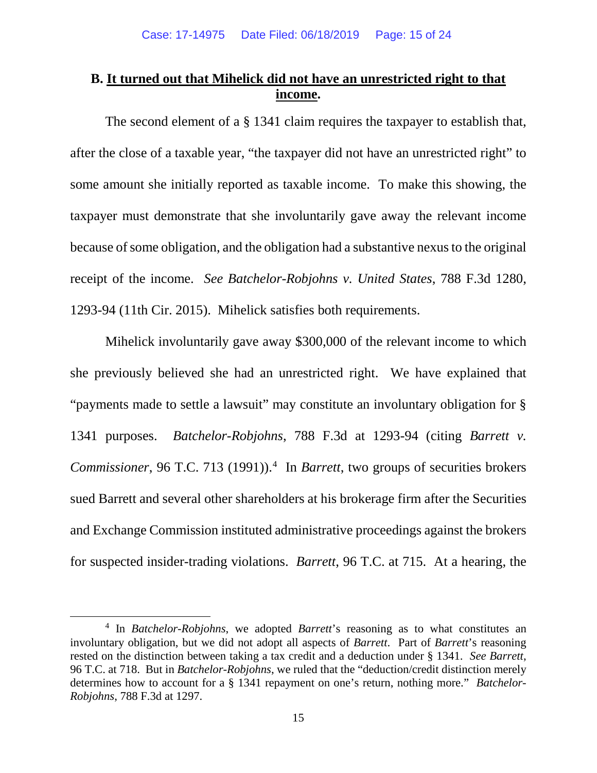## **B. It turned out that Mihelick did not have an unrestricted right to that income.**

The second element of a § 1341 claim requires the taxpayer to establish that, after the close of a taxable year, "the taxpayer did not have an unrestricted right" to some amount she initially reported as taxable income. To make this showing, the taxpayer must demonstrate that she involuntarily gave away the relevant income because of some obligation, and the obligation had a substantive nexus to the original receipt of the income. *See Batchelor-Robjohns v. United States*, 788 F.3d 1280, 1293-94 (11th Cir. 2015). Mihelick satisfies both requirements.

Mihelick involuntarily gave away \$300,000 of the relevant income to which she previously believed she had an unrestricted right. We have explained that "payments made to settle a lawsuit" may constitute an involuntary obligation for § 1341 purposes. *Batchelor-Robjohns*, 788 F.3d at 1293-94 (citing *Barrett v. Commissioner*, 96 T.C. 713 (1991)). [4](#page-14-0) In *Barrett*, two groups of securities brokers sued Barrett and several other shareholders at his brokerage firm after the Securities and Exchange Commission instituted administrative proceedings against the brokers for suspected insider-trading violations. *Barrett*, 96 T.C. at 715. At a hearing, the

<span id="page-14-0"></span> <sup>4</sup> In *Batchelor-Robjohns*, we adopted *Barrett*'s reasoning as to what constitutes an involuntary obligation, but we did not adopt all aspects of *Barrett*. Part of *Barrett*'s reasoning rested on the distinction between taking a tax credit and a deduction under § 1341. *See Barrett*, 96 T.C. at 718. But in *Batchelor-Robjohns*, we ruled that the "deduction/credit distinction merely determines how to account for a § 1341 repayment on one's return, nothing more." *Batchelor-Robjohns*, 788 F.3d at 1297.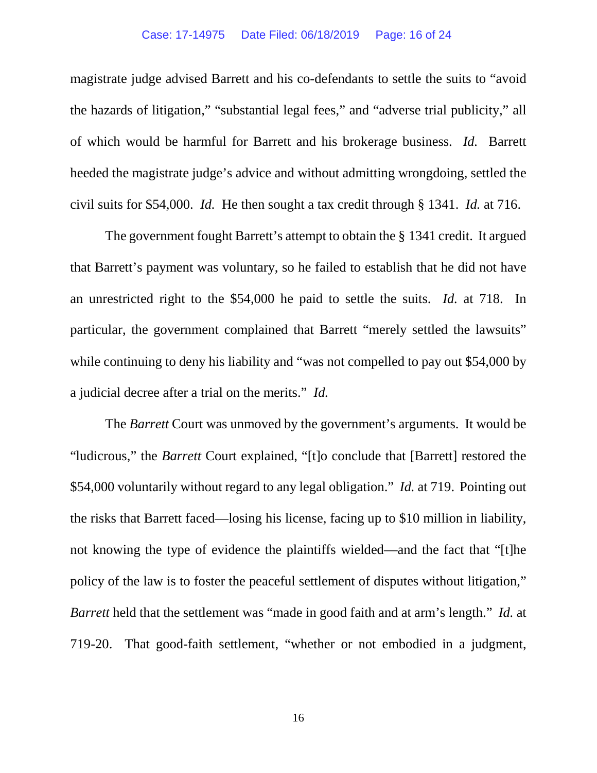#### Case: 17-14975 Date Filed: 06/18/2019 Page: 16 of 24

magistrate judge advised Barrett and his co-defendants to settle the suits to "avoid the hazards of litigation," "substantial legal fees," and "adverse trial publicity," all of which would be harmful for Barrett and his brokerage business. *Id.* Barrett heeded the magistrate judge's advice and without admitting wrongdoing, settled the civil suits for \$54,000. *Id.* He then sought a tax credit through § 1341. *Id.* at 716.

The government fought Barrett's attempt to obtain the § 1341 credit. It argued that Barrett's payment was voluntary, so he failed to establish that he did not have an unrestricted right to the \$54,000 he paid to settle the suits. *Id.* at 718. In particular, the government complained that Barrett "merely settled the lawsuits" while continuing to deny his liability and "was not compelled to pay out \$54,000 by a judicial decree after a trial on the merits." *Id.*

The *Barrett* Court was unmoved by the government's arguments. It would be "ludicrous," the *Barrett* Court explained, "[t]o conclude that [Barrett] restored the \$54,000 voluntarily without regard to any legal obligation." *Id.* at 719. Pointing out the risks that Barrett faced—losing his license, facing up to \$10 million in liability, not knowing the type of evidence the plaintiffs wielded—and the fact that "[t]he policy of the law is to foster the peaceful settlement of disputes without litigation," *Barrett* held that the settlement was "made in good faith and at arm's length." *Id.* at 719-20. That good-faith settlement, "whether or not embodied in a judgment,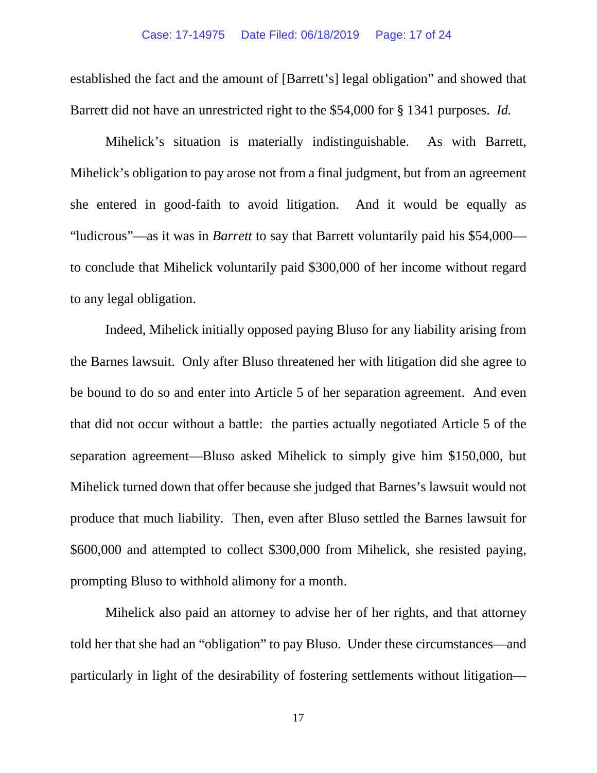established the fact and the amount of [Barrett's] legal obligation" and showed that Barrett did not have an unrestricted right to the \$54,000 for § 1341 purposes. *Id.*

Mihelick's situation is materially indistinguishable. As with Barrett, Mihelick's obligation to pay arose not from a final judgment, but from an agreement she entered in good-faith to avoid litigation. And it would be equally as "ludicrous"—as it was in *Barrett* to say that Barrett voluntarily paid his \$54,000 to conclude that Mihelick voluntarily paid \$300,000 of her income without regard to any legal obligation.

Indeed, Mihelick initially opposed paying Bluso for any liability arising from the Barnes lawsuit. Only after Bluso threatened her with litigation did she agree to be bound to do so and enter into Article 5 of her separation agreement. And even that did not occur without a battle: the parties actually negotiated Article 5 of the separation agreement—Bluso asked Mihelick to simply give him \$150,000, but Mihelick turned down that offer because she judged that Barnes's lawsuit would not produce that much liability. Then, even after Bluso settled the Barnes lawsuit for \$600,000 and attempted to collect \$300,000 from Mihelick, she resisted paying, prompting Bluso to withhold alimony for a month.

Mihelick also paid an attorney to advise her of her rights, and that attorney told her that she had an "obligation" to pay Bluso. Under these circumstances—and particularly in light of the desirability of fostering settlements without litigation—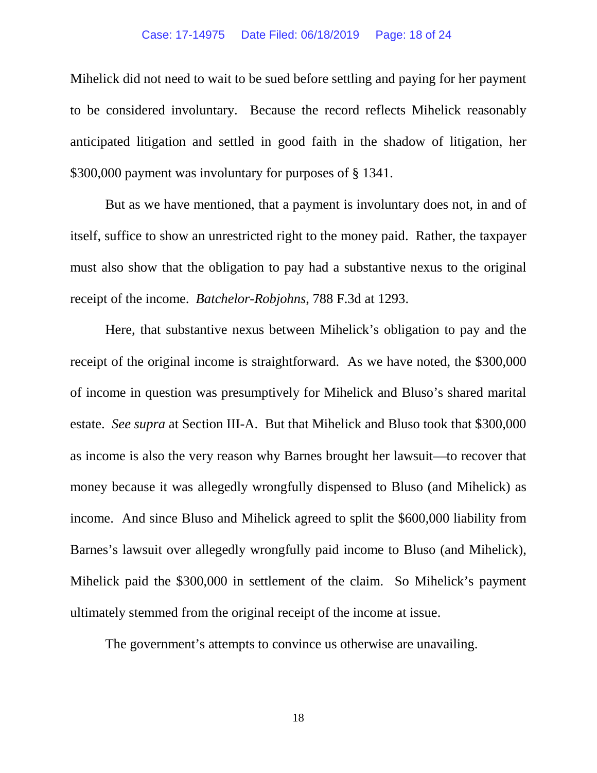### Case: 17-14975 Date Filed: 06/18/2019 Page: 18 of 24

Mihelick did not need to wait to be sued before settling and paying for her payment to be considered involuntary. Because the record reflects Mihelick reasonably anticipated litigation and settled in good faith in the shadow of litigation, her \$300,000 payment was involuntary for purposes of § 1341.

But as we have mentioned, that a payment is involuntary does not, in and of itself, suffice to show an unrestricted right to the money paid. Rather, the taxpayer must also show that the obligation to pay had a substantive nexus to the original receipt of the income. *Batchelor-Robjohns*, 788 F.3d at 1293.

Here, that substantive nexus between Mihelick's obligation to pay and the receipt of the original income is straightforward. As we have noted, the \$300,000 of income in question was presumptively for Mihelick and Bluso's shared marital estate. *See supra* at Section III-A. But that Mihelick and Bluso took that \$300,000 as income is also the very reason why Barnes brought her lawsuit—to recover that money because it was allegedly wrongfully dispensed to Bluso (and Mihelick) as income. And since Bluso and Mihelick agreed to split the \$600,000 liability from Barnes's lawsuit over allegedly wrongfully paid income to Bluso (and Mihelick), Mihelick paid the \$300,000 in settlement of the claim. So Mihelick's payment ultimately stemmed from the original receipt of the income at issue.

The government's attempts to convince us otherwise are unavailing.

18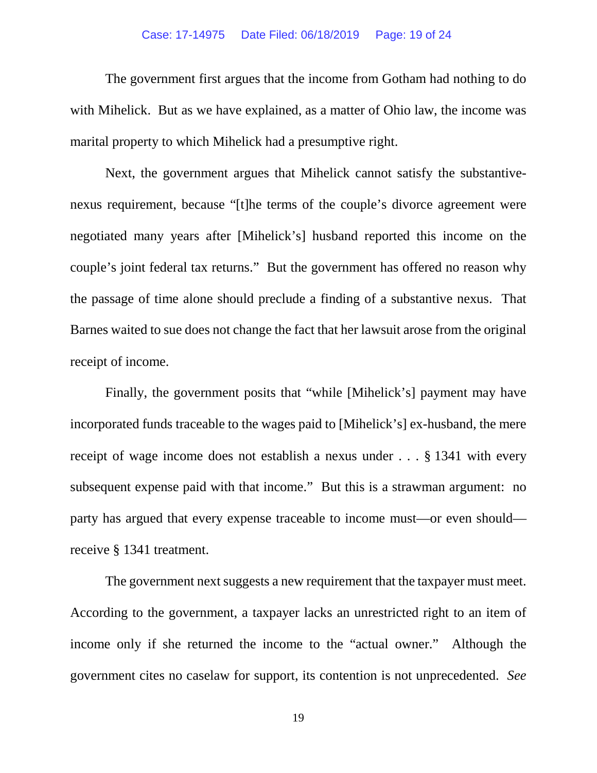### Case: 17-14975 Date Filed: 06/18/2019 Page: 19 of 24

The government first argues that the income from Gotham had nothing to do with Mihelick. But as we have explained, as a matter of Ohio law, the income was marital property to which Mihelick had a presumptive right.

Next, the government argues that Mihelick cannot satisfy the substantivenexus requirement, because "[t]he terms of the couple's divorce agreement were negotiated many years after [Mihelick's] husband reported this income on the couple's joint federal tax returns." But the government has offered no reason why the passage of time alone should preclude a finding of a substantive nexus. That Barnes waited to sue does not change the fact that her lawsuit arose from the original receipt of income.

Finally, the government posits that "while [Mihelick's] payment may have incorporated funds traceable to the wages paid to [Mihelick's] ex-husband, the mere receipt of wage income does not establish a nexus under . . . § 1341 with every subsequent expense paid with that income." But this is a strawman argument: no party has argued that every expense traceable to income must—or even should receive § 1341 treatment.

The government next suggests a new requirement that the taxpayer must meet. According to the government, a taxpayer lacks an unrestricted right to an item of income only if she returned the income to the "actual owner." Although the government cites no caselaw for support, its contention is not unprecedented. *See*

19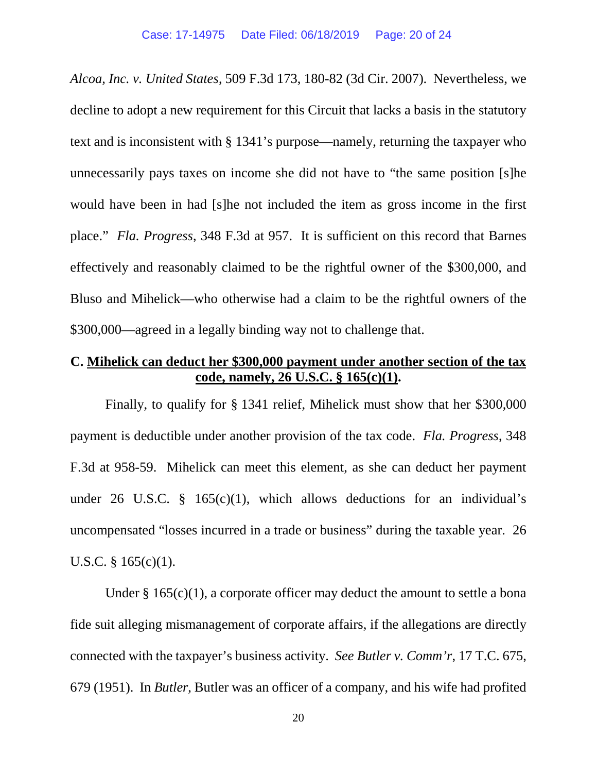*Alcoa, Inc. v. United States*, 509 F.3d 173, 180-82 (3d Cir. 2007). Nevertheless, we decline to adopt a new requirement for this Circuit that lacks a basis in the statutory text and is inconsistent with § 1341's purpose—namely, returning the taxpayer who unnecessarily pays taxes on income she did not have to "the same position [s]he would have been in had [s]he not included the item as gross income in the first place." *Fla. Progress*, 348 F.3d at 957. It is sufficient on this record that Barnes effectively and reasonably claimed to be the rightful owner of the \$300,000, and Bluso and Mihelick—who otherwise had a claim to be the rightful owners of the \$300,000—agreed in a legally binding way not to challenge that.

## **C. Mihelick can deduct her \$300,000 payment under another section of the tax code, namely, 26 U.S.C. § 165(c)(1).**

Finally, to qualify for § 1341 relief, Mihelick must show that her \$300,000 payment is deductible under another provision of the tax code. *Fla. Progress*, 348 F.3d at 958-59. Mihelick can meet this element, as she can deduct her payment under 26 U.S.C. § 165 $(c)(1)$ , which allows deductions for an individual's uncompensated "losses incurred in a trade or business" during the taxable year. 26 U.S.C.  $§$  165(c)(1).

Under  $\S 165(c)(1)$ , a corporate officer may deduct the amount to settle a bona fide suit alleging mismanagement of corporate affairs, if the allegations are directly connected with the taxpayer's business activity. *See Butler v. Comm'r*, 17 T.C. 675, 679 (1951). In *Butler*, Butler was an officer of a company, and his wife had profited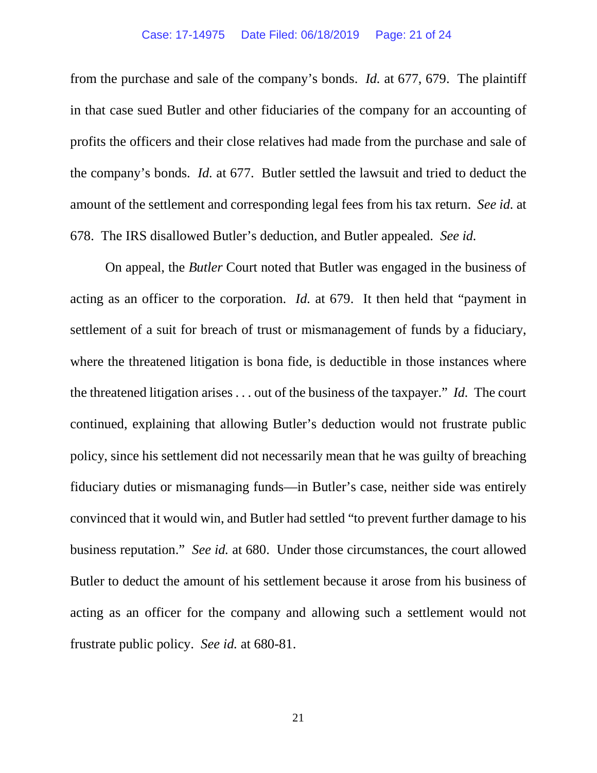#### Case: 17-14975 Date Filed: 06/18/2019 Page: 21 of 24

from the purchase and sale of the company's bonds. *Id.* at 677, 679. The plaintiff in that case sued Butler and other fiduciaries of the company for an accounting of profits the officers and their close relatives had made from the purchase and sale of the company's bonds. *Id.* at 677. Butler settled the lawsuit and tried to deduct the amount of the settlement and corresponding legal fees from his tax return. *See id.* at 678. The IRS disallowed Butler's deduction, and Butler appealed. *See id.*

On appeal, the *Butler* Court noted that Butler was engaged in the business of acting as an officer to the corporation. *Id.* at 679. It then held that "payment in settlement of a suit for breach of trust or mismanagement of funds by a fiduciary, where the threatened litigation is bona fide, is deductible in those instances where the threatened litigation arises . . . out of the business of the taxpayer." *Id.* The court continued, explaining that allowing Butler's deduction would not frustrate public policy, since his settlement did not necessarily mean that he was guilty of breaching fiduciary duties or mismanaging funds—in Butler's case, neither side was entirely convinced that it would win, and Butler had settled "to prevent further damage to his business reputation." *See id.* at 680. Under those circumstances, the court allowed Butler to deduct the amount of his settlement because it arose from his business of acting as an officer for the company and allowing such a settlement would not frustrate public policy. *See id.* at 680-81.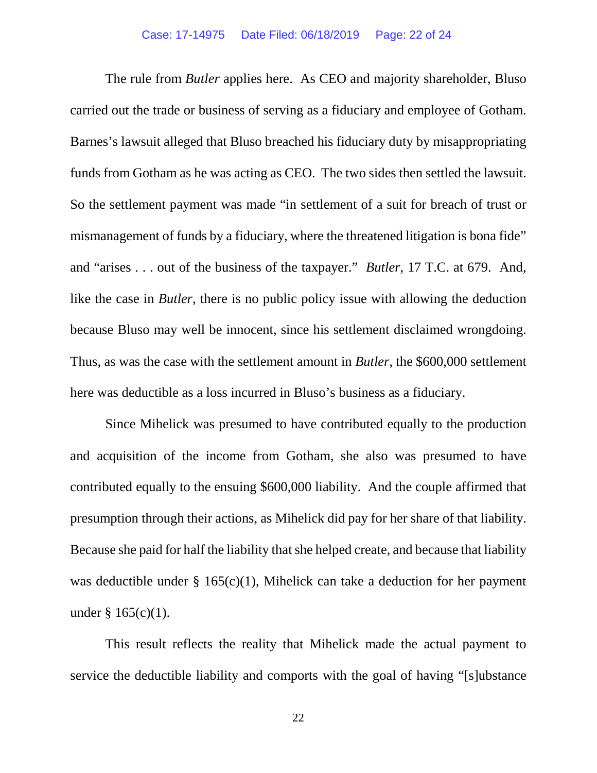The rule from *Butler* applies here. As CEO and majority shareholder, Bluso carried out the trade or business of serving as a fiduciary and employee of Gotham. Barnes's lawsuit alleged that Bluso breached his fiduciary duty by misappropriating funds from Gotham as he was acting as CEO. The two sides then settled the lawsuit. So the settlement payment was made "in settlement of a suit for breach of trust or mismanagement of funds by a fiduciary, where the threatened litigation is bona fide" and "arises . . . out of the business of the taxpayer." *Butler*, 17 T.C. at 679. And, like the case in *Butler*, there is no public policy issue with allowing the deduction because Bluso may well be innocent, since his settlement disclaimed wrongdoing. Thus, as was the case with the settlement amount in *Butler*, the \$600,000 settlement here was deductible as a loss incurred in Bluso's business as a fiduciary.

Since Mihelick was presumed to have contributed equally to the production and acquisition of the income from Gotham, she also was presumed to have contributed equally to the ensuing \$600,000 liability. And the couple affirmed that presumption through their actions, as Mihelick did pay for her share of that liability. Because she paid for half the liability that she helped create, and because that liability was deductible under § 165(c)(1), Mihelick can take a deduction for her payment under § 165(c)(1).

This result reflects the reality that Mihelick made the actual payment to service the deductible liability and comports with the goal of having "[s]ubstance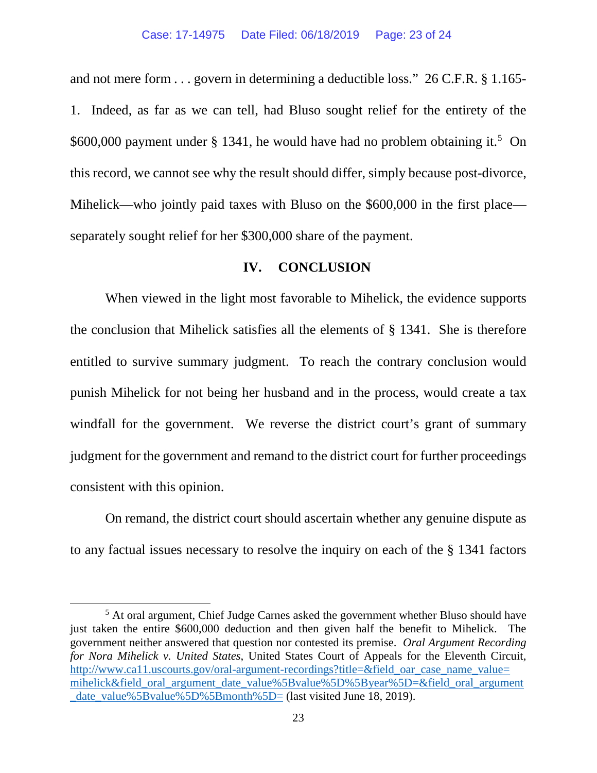and not mere form . . . govern in determining a deductible loss." 26 C.F.R. § 1.165- 1. Indeed, as far as we can tell, had Bluso sought relief for the entirety of the  $$600,000$  payment under  $$1341$ , he would have had no problem obtaining it.<sup>[5](#page-22-0)</sup> On this record, we cannot see why the result should differ, simply because post-divorce, Mihelick—who jointly paid taxes with Bluso on the \$600,000 in the first place separately sought relief for her \$300,000 share of the payment.

## **IV. CONCLUSION**

When viewed in the light most favorable to Mihelick, the evidence supports the conclusion that Mihelick satisfies all the elements of § 1341. She is therefore entitled to survive summary judgment. To reach the contrary conclusion would punish Mihelick for not being her husband and in the process, would create a tax windfall for the government. We reverse the district court's grant of summary judgment for the government and remand to the district court for further proceedings consistent with this opinion.

On remand, the district court should ascertain whether any genuine dispute as to any factual issues necessary to resolve the inquiry on each of the § 1341 factors

<span id="page-22-0"></span> <sup>5</sup> At oral argument, Chief Judge Carnes asked the government whether Bluso should have just taken the entire \$600,000 deduction and then given half the benefit to Mihelick. The government neither answered that question nor contested its premise. *Oral Argument Recording for Nora Mihelick v. United States*, United States Court of Appeals for the Eleventh Circuit, [http://www.ca11.uscourts.gov/oral-argument-recordings?title=&field\\_oar\\_case\\_name\\_value=](http://www.ca11.uscourts.gov/oral-argument-recordings?title=&field_oar_case_name_value=mihelick&field_oral_argument_date_value%5Bvalue%5D%5Byear%5D=&field_oral_argument_date_value%5Bvalue%5D%5Bmonth%5D=) [mihelick&field\\_oral\\_argument\\_date\\_value%5Bvalue%5D%5Byear%5D=&field\\_oral\\_argument](http://www.ca11.uscourts.gov/oral-argument-recordings?title=&field_oar_case_name_value=mihelick&field_oral_argument_date_value%5Bvalue%5D%5Byear%5D=&field_oral_argument_date_value%5Bvalue%5D%5Bmonth%5D=) [\\_date\\_value%5Bvalue%5D%5Bmonth%5D=](http://www.ca11.uscourts.gov/oral-argument-recordings?title=&field_oar_case_name_value=mihelick&field_oral_argument_date_value%5Bvalue%5D%5Byear%5D=&field_oral_argument_date_value%5Bvalue%5D%5Bmonth%5D=) (last visited June 18, 2019).